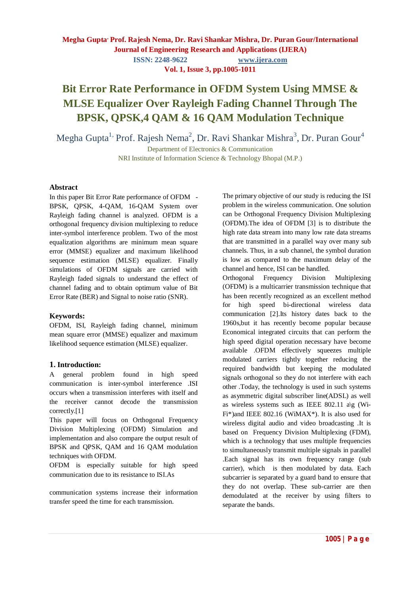**ISSN: 2248-9622 www.ijera.com**

**Vol. 1, Issue 3, pp.1005-1011**

# **Bit Error Rate Performance in OFDM System Using MMSE & MLSE Equalizer Over Rayleigh Fading Channel Through The BPSK, QPSK,4 QAM & 16 QAM Modulation Technique**

Megha Gupta $^{\rm l}$  Prof. Rajesh Nema $^{\rm 2}$ , Dr. Ravi Shankar Mishra $^{\rm 3}$ , Dr. Puran Gour $^{\rm 4}$ 

Department of Electronics & Communication NRI Institute of Information Science & Technology Bhopal (M.P.)

#### **Abstract**

In this paper Bit Error Rate performance of OFDM - BPSK, QPSK, 4-QAM, 16-QAM System over Rayleigh fading channel is analyzed. OFDM is a orthogonal frequency division multiplexing to reduce inter-symbol interference problem. Two of the most equalization algorithms are minimum mean square error (MMSE) equalizer and maximum likelihood sequence estimation (MLSE) equalizer. Finally simulations of OFDM signals are carried with Rayleigh faded signals to understand the effect of channel fading and to obtain optimum value of Bit Error Rate (BER) and Signal to noise ratio (SNR).

#### **Keywords:**

OFDM, ISI, Rayleigh fading channel, minimum mean square error (MMSE) equalizer and maximum likelihood sequence estimation (MLSE) equalizer.

#### **1. Introduction:**

A general problem found in high speed communication is inter-symbol interference .ISI occurs when a transmission interferes with itself and the receiver cannot decode the transmission correctly.[1]

This paper will focus on Orthogonal Frequency Division Multiplexing (OFDM) Simulation and implementation and also compare the output result of BPSK and QPSK, QAM and 16 QAM modulation techniques with OFDM.

OFDM is especially suitable for high speed communication due to its resistance to ISI.As

communication systems increase their information transfer speed the time for each transmission.

The primary objective of our study is reducing the ISI problem in the wireless communication. One solution can be Orthogonal Frequency Division Multiplexing (OFDM).The idea of OFDM [3] is to distribute the high rate data stream into many low rate data streams that are transmitted in a parallel way over many sub channels. Thus, in a sub channel, the symbol duration is low as compared to the maximum delay of the channel and hence, ISI can be handled.

Orthogonal Frequency Division Multiplexing (OFDM) is a multicarrier transmission technique that has been recently recognized as an excellent method for high speed bi-directional wireless data communication [2].Its history dates back to the 1960s,but it has recently become popular because Economical integrated circuits that can perform the high speed digital operation necessary have become available .OFDM effectively squeezes multiple modulated carriers tightly together reducing the required bandwidth but keeping the modulated signals orthogonal so they do not interfere with each other .Today, the technology is used in such systems as asymmetric digital subscriber line(ADSL) as well as wireless systems such as IEEE 802.11 a\g (Wi-Fi\*)and IEEE 802.16 (WiMAX\*). It is also used for wireless digital audio and video broadcasting .It is based on Frequency Division Multiplexing (FDM), which is a technology that uses multiple frequencies to simultaneously transmit multiple signals in parallel .Each signal has its own frequency range (sub carrier), which is then modulated by data. Each subcarrier is separated by a guard band to ensure that they do not overlap. These sub-carrier are then demodulated at the receiver by using filters to separate the bands.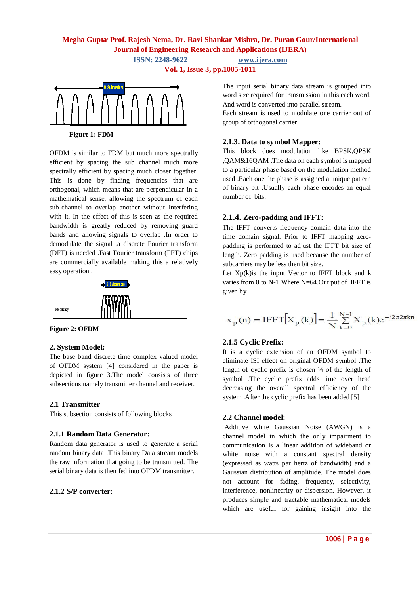**ISSN: 2248-9622 www.ijera.com**

**Vol. 1, Issue 3, pp.1005-1011**



**Figure 1: FDM**

OFDM is similar to FDM but much more spectrally efficient by spacing the sub channel much more spectrally efficient by spacing much closer together. This is done by finding frequencies that are orthogonal, which means that are perpendicular in a mathematical sense, allowing the spectrum of each sub-channel to overlap another without Interfering with it. In the effect of this is seen as the required bandwidth is greatly reduced by removing guard bands and allowing signals to overlap .In order to demodulate the signal ,a discrete Fourier transform (DFT) is needed .Fast Fourier transform (FFT) chips are commercially available making this a relatively easy operation .





# **2. System Model:**

The base band discrete time complex valued model of OFDM system [4] considered in the paper is depicted in figure 3.The model consists of three subsections namely transmitter channel and receiver.

# **2.1 Transmitter**

**T**his subsection consists of following blocks

#### **2.1.1 Random Data Generator:**

Random data generator is used to generate a serial random binary data .This binary Data stream models the raw information that going to be transmitted. The serial binary data is then fed into OFDM transmitter.

# **2.1.2 S/P converter:**

The input serial binary data stream is grouped into word size required for transmission in this each word. And word is converted into parallel stream.

Each stream is used to modulate one carrier out of group of orthogonal carrier.

#### **2.1.3. Data to symbol Mapper:**

This block does modulation like BPSK,QPSK ,QAM&16QAM .The data on each symbol is mapped to a particular phase based on the modulation method used .Each one the phase is assigned a unique pattern of binary bit .Usually each phase encodes an equal number of bits.

# **2.1.4. Zero-padding and IFFT:**

The IFFT converts frequency domain data into the time domain signal. Prior to IFFT mapping zeropadding is performed to adjust the IFFT bit size of length. Zero padding is used because the number of subcarriers may be less then bit size.

Let  $Xp(k)$  is the input Vector to IFFT block and k varies from 0 to N-1 Where N=64.Out put of IFFT is given by

$$
x_p(n) = IFFT[X_p(k)] = \frac{1}{N} \sum_{k=0}^{N-1} X_p(k)e^{-j2\pi 2\pi kn}
$$

# **2.1.5 Cyclic Prefix:**

It is a cyclic extension of an OFDM symbol to eliminate ISI effect on original OFDM symbol .The length of cyclic prefix is chosen  $\frac{1}{4}$  of the length of symbol .The cyclic prefix adds time over head decreasing the overall spectral efficiency of the system .After the cyclic prefix has been added [5]

#### **2.2 Channel model:**

Additive white Gaussian Noise (AWGN) is a channel model in which the only impairment to communication is a linear addition of wideband or white noise with a constant spectral density (expressed as watts par hertz of bandwidth) and a Gaussian distribution of amplitude. The model does not account for fading, frequency, selectivity, interference, nonlinearity or dispersion. However, it produces simple and tractable mathematical models which are useful for gaining insight into the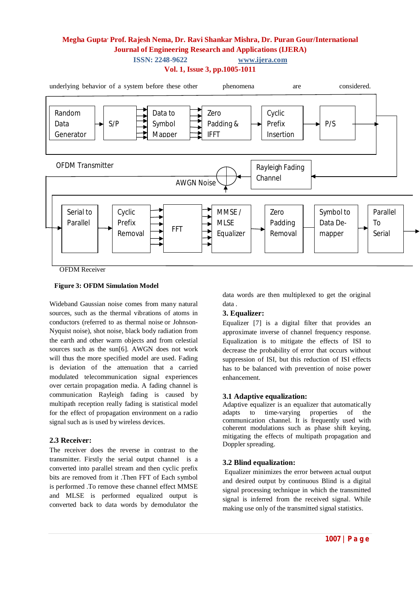

#### **Figure 3: OFDM Simulation Model**

Wideband Gaussian noise comes from many natural sources, such as the thermal vibrations of atoms in conductors (referred to as thermal noise or Johnson-Nyquist noise), shot noise, black body radiation from the earth and other warm objects and from celestial sources such as the sun[6]. AWGN does not work will thus the more specified model are used. Fading is deviation of the attenuation that a carried modulated telecommunication signal experiences over certain propagation media. A fading channel is communication Rayleigh fading is caused by multipath reception really fading is statistical model for the effect of propagation environment on a radio signal such as is used by wireless devices.

#### **2.3 Receiver:**

The receiver does the reverse in contrast to the transmitter. Firstly the serial output channel is a converted into parallel stream and then cyclic prefix bits are removed from it .Then FFT of Each symbol is performed .To remove these channel effect MMSE and MLSE is performed equalized output is converted back to data words by demodulator the

data words are then multiplexed to get the original data .

# **3. Equalizer:**

Equalizer [7] is a digital filter that provides an approximate inverse of channel frequency response. Equalization is to mitigate the effects of ISI to decrease the probability of error that occurs without suppression of ISI, but this reduction of ISI effects has to be balanced with prevention of noise power enhancement.

#### **3.1 Adaptive equalization:**

Adaptive equalizer is an equalizer that automatically<br>adapts to time-varying properties of the time-varying properties of the communication channel. It is frequently used with coherent modulations such as phase shift keying, mitigating the effects of multipath propagation and Doppler spreading.

#### **3.2 Blind equalization:**

Equalizer minimizes the error between actual output and desired output by continuous Blind is a digital signal processing technique in which the transmitted signal is inferred from the received signal. While making use only of the transmitted signal statistics.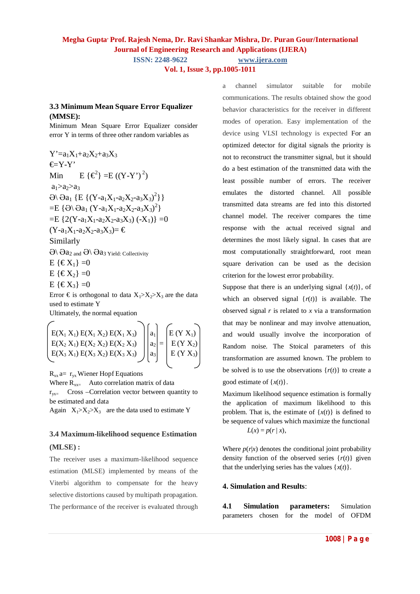**ISSN: 2248-9622 www.ijera.com**

**Vol. 1, Issue 3, pp.1005-1011**

# **3.3 Minimum Mean Square Error Equalizer (MMSE):**

Minimum Mean Square Error Equalizer consider error Y in terms of three other random variables as

 $Y' = a_1X_1 + a_2X_2 + a_3X_3$  $\in Y-Y'$ Min  $E \{ \epsilon^2 \} = E ((Y - Y')^2)$  $a_1 > a_2 > a_3$  $\Theta$ \  $\Theta$ a<sub>1</sub> {E {(Y-a<sub>1</sub>X<sub>1</sub>-a<sub>2</sub>X<sub>2</sub>-a<sub>3</sub>X<sub>3</sub>)<sup>2</sup>}}  $=$ E { $\Theta \setminus \Theta$ a<sub>1</sub> (Y-a<sub>1</sub>X<sub>1</sub>-a<sub>2</sub>X<sub>2</sub>-a<sub>3</sub>X<sub>3</sub>)<sup>2</sup>}  $=$ E {2(Y-a<sub>1</sub>X<sub>1</sub>-a<sub>2</sub>X<sub>2</sub>-a<sub>3</sub>X<sub>3</sub>) (-X<sub>1</sub>)} = 0  $(Y-a_1X_1-a_2X_2-a_3X_3)$  = € Similarly  $\Theta \backslash \Theta$ a<sub>2 and</sub>  $\Theta \backslash \Theta$ a<sub>3</sub> Yield: Collectivity

 $E \{ \in X_1 \} = 0$ 

- $E \{ \in X_2 \} = 0$
- $E \{ \in X_3 \} = 0$

Error  $\epsilon$  is orthogonal to data  $X_1 > X_2 > X_3$  are the data used to estimate Y Ultimately, the normal equation

$$
\begin{bmatrix}\nE(X_1 X_1) E(X_1 X_2) E(X_1 X_3) \\
E(X_2 X_1) E(X_2 X_2) E(X_2 X_3) \\
E(X_3 X_1) E(X_3 X_2) E(X_3 X_3)\n\end{bmatrix}\n\begin{bmatrix}\na_1 \\
a_2 \\
a_3\n\end{bmatrix} =\n\begin{bmatrix}\nE (Y X_1) \\
E (Y X_2) \\
E (Y X_3)\n\end{bmatrix}
$$

 $R_{xx}$  a=  $r_{yx}$  Wiener Hopf Equations

Where  $R_{xx}$  Auto correlation matrix of data

 $r_{vx}$  Cross –Correlation vector between quantity to be estimated and data

Again  $X_1 > X_2 > X_3$  are the data used to estimate Y

# **3.4 Maximum-likelihood sequence Estimation (MLSE) :**

The receiver uses a maximum-likelihood sequence estimation (MLSE) implemented by means of the Viterbi algorithm to compensate for the heavy selective distortions caused by multipath propagation. The performance of the receiver is evaluated through a channel simulator suitable for mobile communications. The results obtained show the good behavior characteristics for the receiver in different modes of operation. Easy implementation of the device using VLSI technology is expected For an optimized detector for digital signals the priority is not to reconstruct the transmitter signal, but it should do a best estimation of the transmitted data with the least possible number of errors. The receiver emulates the distorted channel. All possible transmitted data streams are fed into this distorted channel model. The receiver compares the time response with the actual received signal and determines the most likely signal. In cases that are most computationally straightforward, root mean square derivation can be used as the decision criterion for the lowest error probability.

Suppose that there is an underlying signal  $\{x(t)\}\text{, of }$ which an observed signal  $\{r(t)\}\$ is available. The observed signal  $r$  is related to  $x$  via a transformation that may be nonlinear and may involve attenuation, and would usually involve the incorporation of Random noise. The Stoical parameters of this transformation are assumed known. The problem to be solved is to use the observations  $\{r(t)\}\)$  to create a good estimate of  $\{x(t)\}\.$ 

Maximum likelihood sequence estimation is formally the application of maximum likelihood to this problem. That is, the estimate of  $\{x(t)\}\$ is defined to be sequence of values which maximize the functional  $L(x) = p(r | x),$ 

Where  $p(r|x)$  denotes the conditional joint probability density function of the observed series  $\{r(t)\}\$  given that the underlying series has the values  $\{x(t)\}\.$ 

# **4. Simulation and Results**:

**4.1 Simulation parameters:** Simulation parameters chosen for the model of OFDM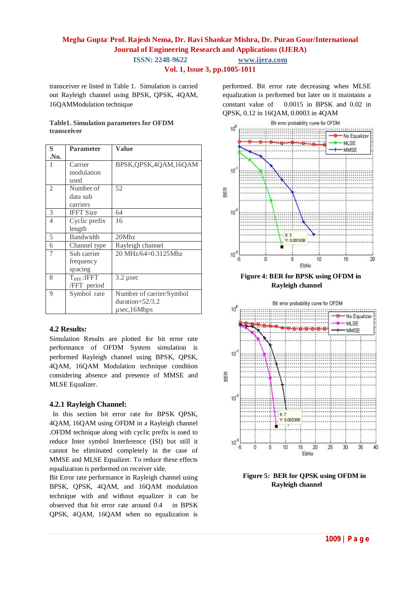**ISSN: 2248-9622 www.ijera.com**

**Vol. 1, Issue 3, pp.1005-1011**

transceiver re listed in Table 1. Simulation is carried out Rayleigh channel using BPSK, QPSK, 4QAM, 16QAMModulation technique

#### **Table1. Simulation parameters for OFDM transceiver**

| S    | <b>Parameter</b>        | Value                    |
|------|-------------------------|--------------------------|
| .No. |                         |                          |
| 1    | Carrier                 | BPSK, QPSK, 4QAM, 16QAM  |
|      | modulation              |                          |
|      | used                    |                          |
| 2    | Number of               | 52                       |
|      | data sub                |                          |
|      | carriers                |                          |
| 3    | <b>IFFT Size</b>        | 64                       |
| 4    | Cyclic prefix           | 16                       |
|      | length                  |                          |
| 5    | <b>Bandwidth</b>        | 20Mhz                    |
| 6    | Channel type            | Rayleigh channel         |
| 7    | Sub carrier             | 20 MHz/64=0.3125Mhz      |
|      | frequency               |                          |
|      | spacing                 |                          |
| 8    | $T_{\text{FFT}}$ : IFFT | $3.2 \mu$ sec            |
|      | /FFT period             |                          |
| 9    | Symbol rate             | Number of carrier/Symbol |
|      |                         | duration= $52/3.2$       |
|      |                         | $\mu$ sec, 16Mbps        |

# **4.2 Results:**

Simulation Results are plotted for bit error rate performance of OFDM System simulation is performed Rayleigh channel using BPSK, QPSK, 4QAM, 16QAM Modulation technique condition considering absence and presence of MMSE and MLSE Equalizer.

#### **4.2.1 Rayleigh Channel:**

In this section bit error rate for BPSK QPSK, 4QAM, 16QAM using OFDM in a Rayleigh channel .OFDM technique along with cyclic prefix is used to reduce Inter symbol Interference (ISI) but still it cannot be eliminated completely in the case of MMSE and MLSE Equalizer. To reduce these effects equalization is performed on receiver side.

Bit Error rate performance in Rayleigh channel using BPSK, QPSK, 4QAM, and 16QAM modulation technique with and without equalizer it can be observed that bit error rate around 0.4 in BPSK QPSK, 4QAM, 16QAM when no equalization is

performed. Bit error rate decreasing when MLSE equalization is performed but later on it maintains a constant value of 0.0015 in BPSK and 0.02 in QPSK, 0.12 in 16QAM, 0.0003 in 4QAM



 **Figure 4: BER for BPSK using OFDM in Rayleigh channel**



 **Figure 5: BER for QPSK using OFDM in Rayleigh channel**

**1009 | P a g e**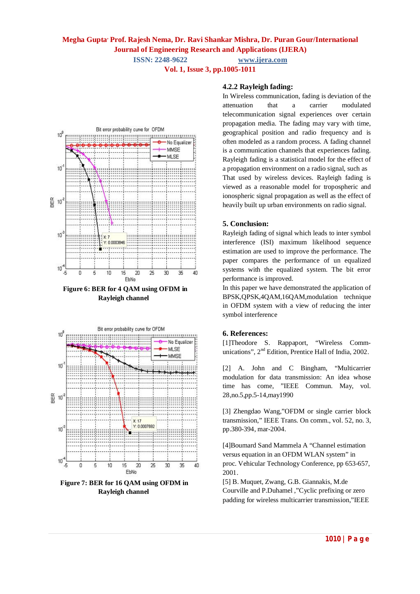**ISSN: 2248-9622 www.ijera.com**

**Vol. 1, Issue 3, pp.1005-1011**



 **Figure 6: BER for 4 QAM using OFDM in Rayleigh channel**



**Figure 7: BER for 16 QAM using OFDM in Rayleigh channel**

# **4.2.2 Rayleigh fading:**

In Wireless communication, fading is deviation of the attenuation that a carrier modulated telecommunication signal experiences over certain propagation media. The fading may vary with time, geographical position and radio frequency and is often modeled as a random process. A fading channel is a communication channels that experiences fading. Rayleigh fading is a statistical model for the effect of a propagation environment on a radio signal, such as That used by wireless devices. Rayleigh fading is viewed as a reasonable model for tropospheric and ionospheric signal propagation as well as the effect of heavily built up urban environments on radio signal.

# **5. Conclusion:**

Rayleigh fading of signal which leads to inter symbol interference (ISI) maximum likelihood sequence estimation are used to improve the performance. The paper compares the performance of un equalized systems with the equalized system. The bit error performance is improved.

In this paper we have demonstrated the application of BPSK,QPSK,4QAM,16QAM,modulation technique in OFDM system with a view of reducing the inter symbol interference

# **6. References:**

[1]Theodore S. Rappaport, "Wireless Communications", 2<sup>nd</sup> Edition, Prentice Hall of India, 2002.

[2] A. John and C Bingham, "Multicarrier modulation for data transmission: An idea whose time has come, "IEEE Commun. May, vol. 28,no.5,pp.5-14,may1990

[3] Zhengdao Wang,"OFDM or single carrier block transmission," IEEE Trans. On comm., vol. 52, no. 3, pp.380-394, mar-2004.

[4]Boumard Sand Mammela A "Channel estimation versus equation in an OFDM WLAN system" in proc. Vehicular Technology Conference, pp 653-657, 2001.

[5] B. Muquet, Zwang, G.B. Giannakis, M.de Courville and P.Duhamel ,"Cyclic prefixing or zero padding for wireless multicarrier transmission,"IEEE